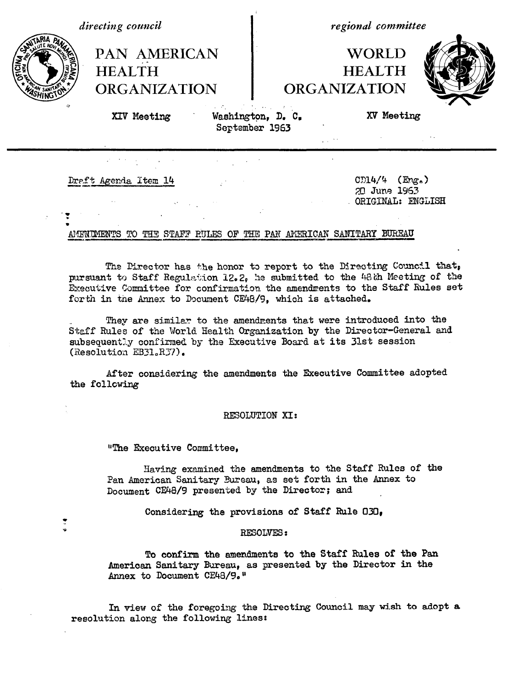*directing council*

**HEALTH**

*regional committee*

# **WORLD HEALTH ORGANIZATION**



XIV Meeting

**PAN AMERICAN**

**ORGANIZATION**

ashington, D. **C,** September 1963

XV Meeting

\_ \_

Dreft Agenda Item  $14$  cD14/4 (Eng.)

 $\ddot{\mathbf{v}}$ 

*i?*

20 June 1963 ORIGINAL: ENGLISH

# AMENIMENTS TO THE STAFF RULES OF THE PAN AMERICAN SANITARY BUREAU

The Director has the honor to report to the Directing Council that, pursuant to Staff Regulation 12.2, he submitted to the 48th Meeting of the Executive Committee for confirmation the amendments to the Staff Rules set forth in tne Annex to Document CE48/9, which is attached.

They are similar to the amendments that were introduced into the Staff Rules of the World Health Organization by the Director-General and subsequently confirmed by the Executive Board at its 31st session (Resolution  $EB31_eR37$ ).

After considering the amendments the Executive Committee adopted the following

## RESOLUTION XI:

"The Executive Committee,

Having examined the amendments to the Staff Rules of the Pan American Sanitary Bureau, as set forth in the Annex to Document CE48/9 presented by the Director; and

Considering the provisions of Staff Rule 030,

## RESOLVES:

To confirm the amendments to the Staff Rules of the Pan American Sanitary Bureau, as presented by the Director in the Annex to Document CE48/9."

In view of the foregoing the Directing Council may wish to adopt **a** resolution along the following lines: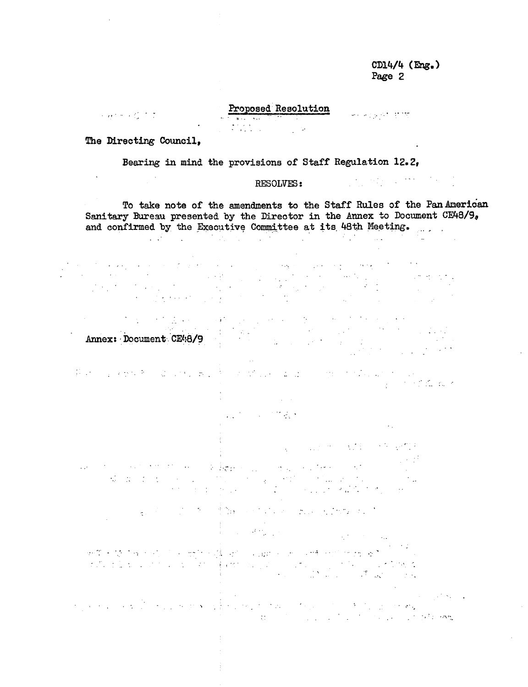CD14/4 (Eng.) Page 2

 $\sim$  .

لانتهاء ويحاجب

## Proposed Resolution

The Directing Council,

Permit 17

 $\hat{\mathcal{A}}$ 

Bearing in mind the provisions of Staff Regulation 12.2,

# RESOLVES:

To take note of the amendments to the Staff Rules of the Pan American Sanitary Bureau presented by the Director in the Annex to Document CE48/9, and confirmed by the Executive Committee at its 48th Meeting.

 $\sim 10^{11}$  km  $^{-1}$ 

 $\mathcal{L}_{\text{max}}$ 

Annex: Document.CE48/9

 $\mathcal{F}(\mathcal{A})$  , and  $\mathcal{F}(\mathcal{A})$  , and

Participation of the state of the state of the complete state of the in Production

> **STATISTICS**  $\sim 10^{10}$

. The contract of the contract of the contract of the contract of the contract of the contract of the contract of the contract of the contract of the contract of the contract of the contract of the contract of the contrac

经营产品 人名德尔德维尔  $\mathcal{L}_{\text{max}}$  and  $\mathcal{L}_{\text{max}}$  and  $\mathcal{L}_{\text{max}}$  $\label{eq:1} \mathcal{L}=\mathbb{R}^{\frac{1}{2}}\log p\geq \mathcal{L}_{\mathcal{L}}\leq \mathcal{L}_{\mathcal{L}}\leq \mathcal{L}_{\mathcal{L}}\leq \mathcal{L}_{\mathcal{L}}\leq \mathcal{L}_{\mathcal{L}}.$  $\mathcal{L}^{\mathcal{L}}$  and  $\mathcal{L}^{\mathcal{L}}$  are the set of the field of  $\mathcal{L}^{\mathcal{L}}$  $\mathcal{L}_{\mathcal{M}}$  and  $\mathcal{L}_{\mathcal{M}}$  . The  $\mathcal{L}_{\mathcal{M}}$ 

 $\label{eq:2.1} \frac{1}{\sqrt{2}}\int_{\mathbb{R}^{2}}\left|\frac{d\mathbf{x}}{d\mathbf{x}}\right|^{2}d\mathbf{x}^{2}d\mathbf{x}^{2}d\mathbf{x}^{2}d\mathbf{x}^{2}d\mathbf{x}^{2}d\mathbf{x}^{2}d\mathbf{x}^{2}d\mathbf{x}^{2}d\mathbf{x}^{2}d\mathbf{x}^{2}d\mathbf{x}^{2}d\mathbf{x}^{2}d\mathbf{x}^{2}d\mathbf{x}^{2}d\mathbf{x}^{2}d\mathbf{x}^{2}d\mathbf{x}^{2}d\mathbf{x}^{2}d\math$  $\mathcal{A}$  is a set of the set of the set of the set of the set of the set of the set of the set of the set of the set of the set of the set of the set of the set of the set of the set of the set of the set of the set of th

 $\label{eq:2} \frac{1}{\sqrt{2}}\int_{-\infty}^{\infty} \frac{d\mu}{\sqrt{2\pi}} \frac{d\mu}{\sqrt{2\pi}} \frac{d\mu}{\sqrt{2\pi}} \frac{d\mu}{\sqrt{2\pi}} \, .$  $\mathcal{L}^{\text{max}}_{\text{max}}$  and  $\mathcal{L}^{\text{max}}_{\text{max}}$ 

 $\mathcal{L}(\mathcal{P}_\infty)$  ,  $\mathcal{L}(\mathcal{P}_\infty)$  ,

. For a set  $S$  , we have the state of the set of  $S$  , we have the set  $\sigma_{\phi}$  $\mathcal{F} = \{x_1, x_2, \ldots, x_n\}$ and the second the state of the state of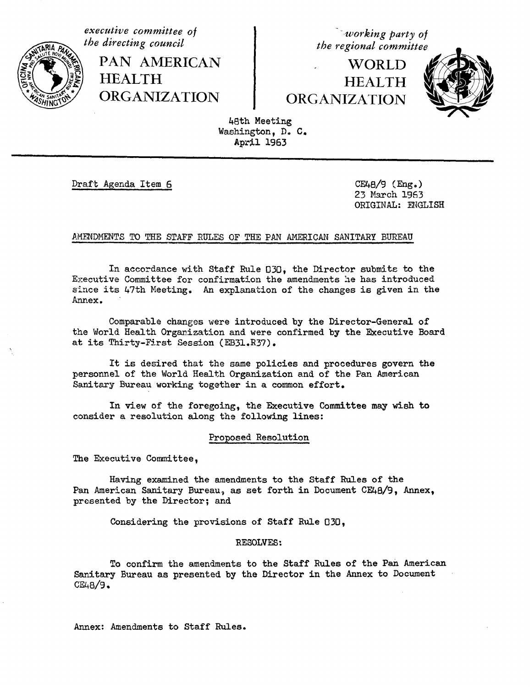*executive committee of the directing council*

> PAN AMERICAN I **HEALTH** ORGANIZATION

*u"working party of the regional committee*

WORLD **HEALTH** ORGANIZATION



48th Meeting Washington, D. C. April 1963

Draft Agenda Item 6 CE48/9 (Eng.)

23 March 1963 ORIGINAL: ENGLISH

## AMENDMENTS TO THE STAFF RULES OF THE PAN AMERICAN SANITARY BUREAU

In accordance with Staff Rule 030, the Director submits to the Executive Committee for confirmation the amendments he has introduced since its 47th Meeting. An explanation of the changes is given in the Annex.

Comparable changes were introduced by the Director-General of the World Health Organization and were confirmed by the Executive Board at its Thirty-First Session (EB31.R37).

It is desired that the same policies and procedures govern the personnel of the World Health Organization and of the Pan American Sanitary Bureau working together in a common effort.

In view of the foregoing, the Executive Committee may wish to consider a resolution along the following lines:

Proposed Resolution

The Executive Committee,

Having examined the amendments to the Staff Rules of the Pan American Sanitary Bureau, as set forth in Document CE48/9, Annex, presented by the Director; and

Considering the provisions of Staff Rule 030,

## RESOLVES:

To confirm the amendments to the Staff Rules of the Pan American Sanitary Bureau as presented by the Director in the Annex to Document CE48/9.

Annex: Amendments to Staff Rules.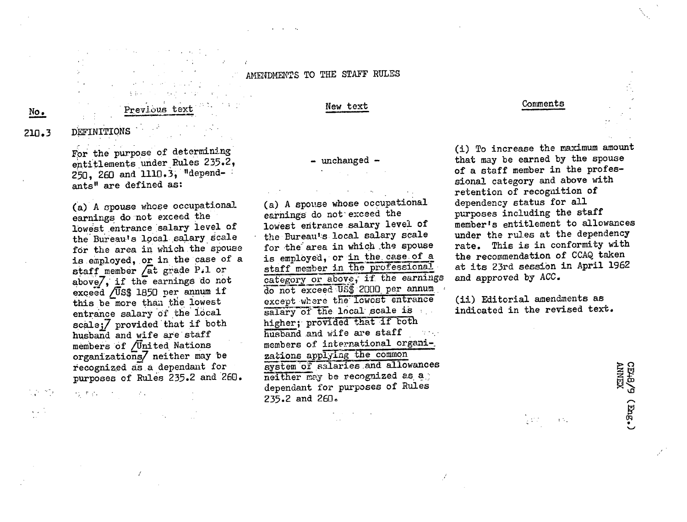AMENDMENTS TO THE STAFF RULES

# **No.**

# **Previous text**  $\frac{N_{\text{ew}}}{N_{\text{ew}}}}$

## Comments

210.3 DEFINITIONS

For the purpose of determining entitlements under Rules 235.2, 250, 260 and 1110.3, "dependants" are defined as:

(a) A spouse whose occupational earnings do not exceed the lowest entrance salary level of the Bureau's local salary scale for the area in which the spouse is employed, or in the case of a staff member /at grade Pil or above $7$ , if the earnings do not exceed /US\$ 1850 per annum if this be more than the lowest entrance salary'of the local  $scale$ ; $\overline{7}$  provided that if both husband and wife are staff members of /United Nations organizations/ neither may be recognized as.a dependant for purposes of Rules 235.2 and 260.

 $\mathcal{A}^{\text{max}}_{\text{max}}$  ,  $\mathcal{A}^{\text{max}}_{\text{max}}$ 

ゆすみ アイバーマン

 $-$  unchanged  $-$ 

(a) A spouse whose occupational earnings do not exceed the lowest entrance.salary level of the Bureau's local salary scale for the area in which the spouse is employed, or in the.case of a staff member in the professional category or above, if the earnings do not exceed US\$ 2000 per annum except where the lowest entrance salary of the local scale is higher; provided that if both husband.and wife are staff  $\sim 10^{11}$  km s  $^{-1}$ members of international organi-\_ zations applying the common system of salaries and allowances neither may be recognized as a dependant for purposes of Rules 235.2 and 260.

(i) To increase the maximum amount that may be earned by the spouse of a staff member in the professional category and above with retention of recognition of dependency status for all purposes including the staff member's entitlement to allowances under the rules at the dependency rate. This is in conformity with the recommendation of CCAQ taken at its 23rd session in April 1962 and approved by ACC.

(ii) Editorial amendments as indicated in the revised text.

iya di Kabupatén Bandung Bandung Bandung Bandung Bandung Bandung Bandung Bandung Bandung Bandung Bandung Bandu<br>Kabupatèn Bandung Bandung Bandung Bandung Bandung Bandung Bandung Bandung Bandung Bandung Bandung Bandung Band

 $\pm 51$ 

CE48/9 (Eng.)<br>ANNEX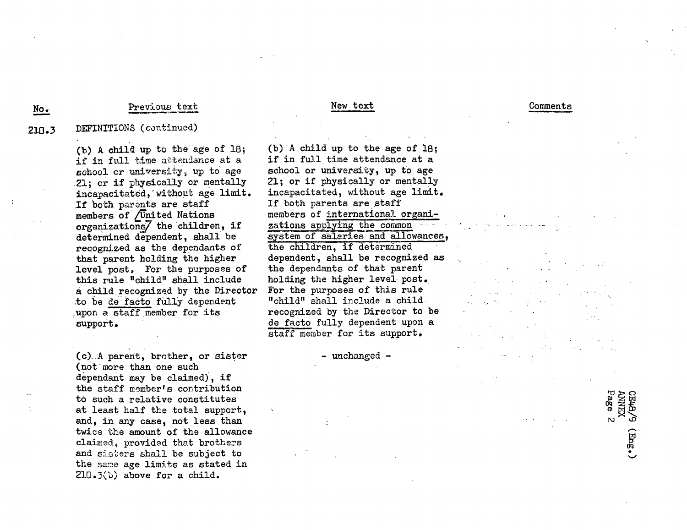## Previous text No. Previous text New text New text Comments

# 210.3 DEFINITiONS (continued)

(b) A child up to the age of 18; if in full time attendance at a school or university, up to age 21; or if physically or mentally incapacitated,'without age limit. .If both parents are staff members of /United Nations organizations/ $\lambda$  the children, if determined dependent, shall be recognized as the dependants of that parent holding the higher level post. For the purposes of this rule "child" shall include a child recognized by the Director .to be de facto fiully dependent ,upon a staff member for its support.

(c). A parent, brother, or sister (not more than one such dependant may be claimed), if the staff member's contribution to such a relative constitutes at least half the total support, and, in any case, not less than twice the amount of the allowance claimed, provided that brothers and sisters shall be subject to the same age limits as stated in 210.3(b) above for a child.

(b) A child up to the age of 18; if in full time attendance at a school or university, up to age 21; or if physically or mentally incapacitated, without age limit, If both parents are staff members of international organizations applying the common system of salaries and allowances, the children, if determined dependent, shall be recognized as the dependants of that parent holding the higher level post. For the purposes of this rule "child" shall include a child recognized by the Director to be de facto fully dependent upon a staff member for its support.

- unchanged -

Is'

\_1

CE48/9<br>ANNEX<br>Page 2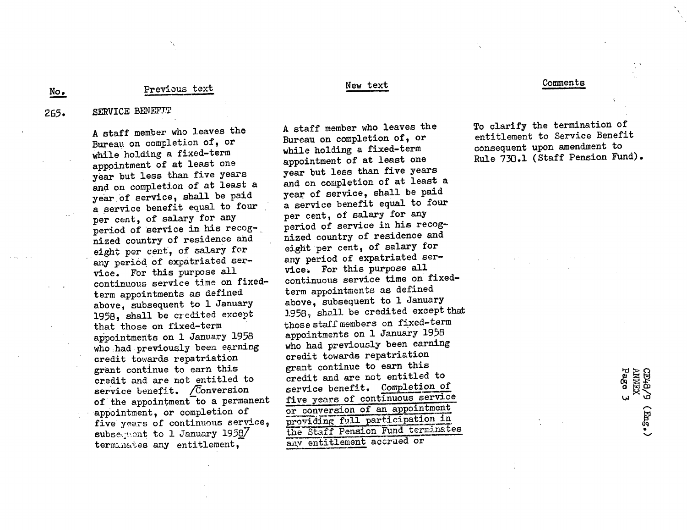## Previous text

## SERVICE BENEFTT 265.

A staff member who leaves the Bureau on completion of, or while holding a fixed-term appointment of at least one year but less than five years and on completion of at least a year of service, shall be paid a service benefit equal to four per cent, of salary for any period of service in his recognized country of residence and eight per cent, of salary for any period of expatriated service. For this purpose all continuous service time on fixedterm appointments as defined above, subsequent to 1 January 1958, shall be credited except that those on fixed-term appointments on 1 January 1958 who had previously been earning credit towards repatriation grant continue to earn this credit and are not entitled to service benefit. / Conversion of the appointment to a permanent appointment, or completion of five years of continuous service, subsequent to 1 January 1958 $7$ terminates any entitlement,

## New text

A staff member who leaves the Bureau on completion of, or while holding a fixed-term appointment of at least one year but less than five years and on completion of at least a year of service, shall be paid a service benefit equal to four per cent, of salary for any period of service in his recognized country of residence and eight per cent, of salary for any period of expatriated service. For this purpose all continuous service time on fixedterm appointments as defined above, subsequent to 1 January 1)958, shall be credited except that those staffmembers on fixed-term appointments on 1 January 1958 who had previously been earning credit towards repatriation grant continue to earn this credit and are not entitled to service benefit. Completion of five years of continuous service or conversion of an appointment providing full participation in the Staff Pension Fund terminartes any entitlement accrued or

## Comments

To clarify the termination of entitlement to Service Benefit consequent upon amendment to Rule 730.1 (Staff Pension Fund).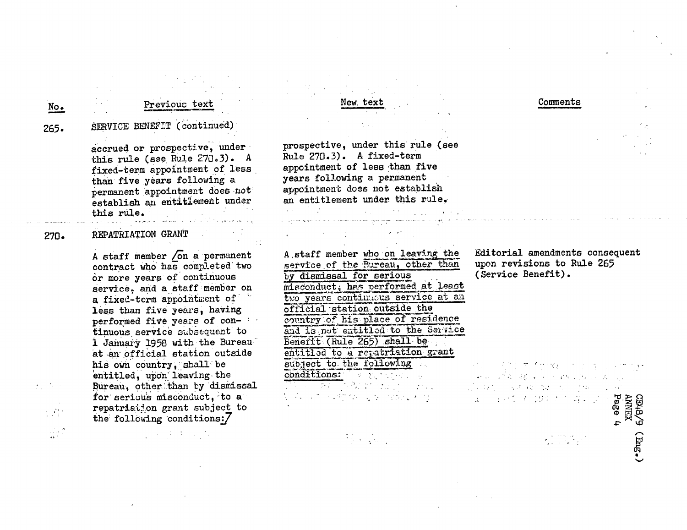# Previous text

265,

No.

 $\frac{1}{44}$  ,  $\frac{1}{2}$ 

# SERVICE BENEFIT (continued)

accrued or prospective, under this rule (see Rule 270.3). A fixed-term appointment of less than five years following a permanent appointment does -not' establish an entitlement under this rule.

## REPATRIATION GRANT 270.

A staff member  $\sqrt{on}$  a permanent contract who' has completed'two or more years of continuous service. and a staff member on a fixed-term appointment of less than five years, having performed five years of continuous service subsequent to i January 1958 with-the Bureau at an official station outside his own country, shall be entitled, upon leaving the Bureau, other:than by dismissal for serious misconduct, to a repatriation grant subject to the following conditions:7

New, text

prospective, under this rule (see Rule 270.3). A fixed-term appointment of less than five years following a permanent appointment does not establish an entitlement under this rule.

A staff member who on leaving the service of the Bureau, other than by dismissal for serious misconduct; has performed at least two years continuous service at an official-station outside the country of his place of residence and is not entitled to the Service Benefit. (Rule 265) shall be entitled to a repatriation grant subject to the following conditions: . .. ·-. .. . . . . .

Editorial amendments consequent upon revisions to Rule 265 (Service Benefit).

Comments

.,...: . - 04 ાં પરંતુ હતા જે જ્યારે તેમ જ પશુપાલન છે.

.: ..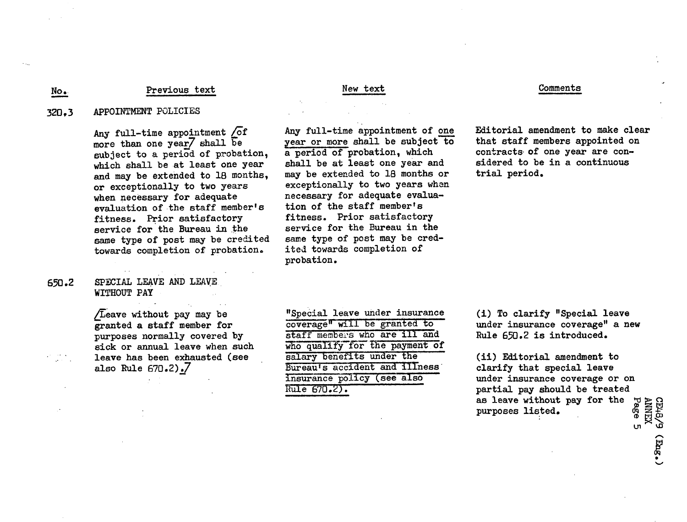## Previous text No. Previous text New text New text Comments

## 320,3 APPOINTMENT POLICIES

Any full-time appointment  $\sqrt{\circ}$ f more than one year7 shall be subject to a period of probation, which shall be at least one year and may be extended to 18 months, or exceptionally to two years when necessary for adequate evaluation of the staff member's fitness. Prior satisfactory service for the Bureau in the same type of post may be credited towards completion of probation.

# 650.2 SPECIAL LEAVE AND LEAVE WITHOUT PAY

/Leave without pay may be granted a staff member for purposes normally covered by sick or annual leave when such leave has been exhausted (see also Rule 670.2).7

"Special leave under insurance coverage" will be granted to staff members who are ill and who qualify for the payment of salary benefits under the Bureau's accident and illness insurance policy (see also Rule 670.2).

probation.

Any full-time appointment of one year or more shall be subject to a period of probation, which shall be at least one year and may be extended to 18 months or exceptionally to two years when necessary for adequate evaluation of the staff member's fitness. Prior satisfactory service for the Bureau in the same type of post may be credited towards completion of

Editorial amendment to make clear that staff members appointed on contracts of one year are considered to be in a continuous trial period.

(i) To clarify "Special leave under insurance coverage" a new Rule 650.2 is introduced.

(ii) Editorial amendment to clarify that special leave under insurance coverage or on partial pay should be treated as leave without pay for the  $\frac{1}{N}$ purposes listed.

n **W**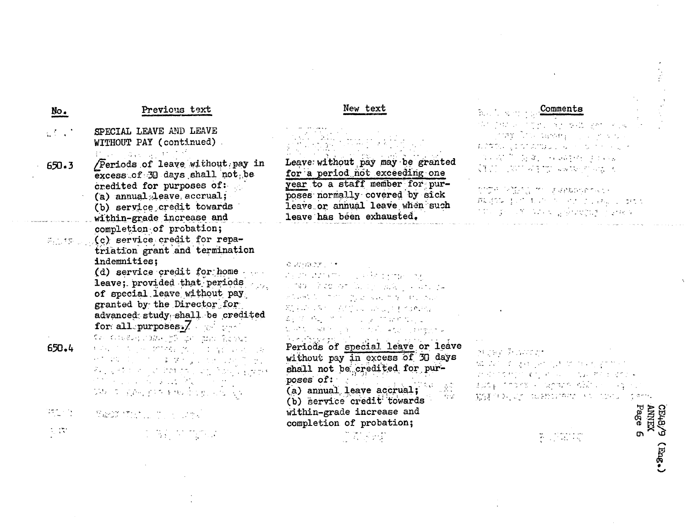| No.                                                                                                                                                                                                                                                                                                                                                             | Previous text                                                                                                                                                                                                                                                                                                                                                                                                                                                                                                                                                                                                                                                                                                                                                                                                                                                                                                                              | New text                                                                                                                                                                                                                                                                                                                                                                                                                                                                                                                                                                             | <b>Comments</b>                                                                                                                                                                                                                               |
|-----------------------------------------------------------------------------------------------------------------------------------------------------------------------------------------------------------------------------------------------------------------------------------------------------------------------------------------------------------------|--------------------------------------------------------------------------------------------------------------------------------------------------------------------------------------------------------------------------------------------------------------------------------------------------------------------------------------------------------------------------------------------------------------------------------------------------------------------------------------------------------------------------------------------------------------------------------------------------------------------------------------------------------------------------------------------------------------------------------------------------------------------------------------------------------------------------------------------------------------------------------------------------------------------------------------------|--------------------------------------------------------------------------------------------------------------------------------------------------------------------------------------------------------------------------------------------------------------------------------------------------------------------------------------------------------------------------------------------------------------------------------------------------------------------------------------------------------------------------------------------------------------------------------------|-----------------------------------------------------------------------------------------------------------------------------------------------------------------------------------------------------------------------------------------------|
| $\mathbb{Z}^{\mathbb{Z}^n}$ .<br>650.3                                                                                                                                                                                                                                                                                                                          | SPECIAL LEAVE AND LEAVE<br>WITHOUT PAY (continued)<br>机平均解析法 机乙烯<br>/Periods of leave without pay in                                                                                                                                                                                                                                                                                                                                                                                                                                                                                                                                                                                                                                                                                                                                                                                                                                       | Leave without pay may be granted<br>for a period not exceeding one                                                                                                                                                                                                                                                                                                                                                                                                                                                                                                                   | 网络白斑 计信号数据 医乳糜 医牙髓内脏 医心脏<br><b>Secretary Constitutions of the property of the constitution</b><br>มีเดิร์ตัว ผู้อังกิจเป็นผู้ของการเกิด คน ห<br>医三腹下的 医鼻腔 计单调整理 使使重新<br>$\zeta$ is a set of $\zeta$ in the contraction of $\zeta$ and $\zeta$ |
|                                                                                                                                                                                                                                                                                                                                                                 | excess of 30 days shall not be<br>credited for purposes of:<br>(a) annual leave accrual;<br>(b) service credit towards<br>within-grade increase and                                                                                                                                                                                                                                                                                                                                                                                                                                                                                                                                                                                                                                                                                                                                                                                        | year to a staff member for pur-<br>poses normally covered by sick<br>leave or annual leave when such<br>leave has been exhausted.                                                                                                                                                                                                                                                                                                                                                                                                                                                    | DIDA (KIDIG) TILLERADIYATIYLI<br>無法なられてもの トラインファキャル おく<br>不可以 英国人苏州东北区 医学性硬度的 医分析法                                                                                                                                                            |
| 650.4                                                                                                                                                                                                                                                                                                                                                           | completion of probation;<br>Which (c) service credit for repa-<br>triation grant and termination<br>indemnities:<br>$(d)$ service credit for home<br>leave; provided that periods<br>of special leave without pay<br>granted by the Director for<br>advanced study shall be credited<br>for all purposes. As the cost<br>The Constant Cliffornia of the Person<br>相似的人 地名加拿大人姓氏科尔<br>计阴极电阻 计自动字母 医二甲状腺炎 出版<br>ਦੇ ਪਰ ਦੇ ਪ੍ਰਾਪਤ ਸੰਦਾਰਨ ਪਾਠ ਗਿਆ ਜਿਸਦਾ<br>$\label{eq:2.1} \mathcal{L}(\mathcal{L}^{\mathcal{L}}(\mathcal{L}^{\mathcal{L}}(\mathcal{L}^{\mathcal{L}}(\mathcal{L}^{\mathcal{L}}(\mathcal{L}^{\mathcal{L}}(\mathcal{L}^{\mathcal{L}}(\mathcal{L}^{\mathcal{L}}(\mathcal{L}^{\mathcal{L}}(\mathcal{L}^{\mathcal{L}}(\mathcal{L}^{\mathcal{L}}(\mathcal{L}^{\mathcal{L}}(\mathcal{L}^{\mathcal{L}}(\mathcal{L}^{\mathcal{L}}(\mathcal{L}^{\mathcal{L}}(\mathcal{L}^{\mathcal{L}}(\mathcal{L}^{\mathcal$<br>李致 尔 宝裕, 机灰黄地, 零型机 的现在分词 | $\{ \hat{G}_{\alpha} (f) : f(\hat{G}) \in \mathcal{T}_{\alpha} \} \subset \mathcal{T}_{\alpha} \subset \mathcal{T}_{\alpha}$<br>The other distances in the construction of the construction<br>ေတာ့များ အဲဒီတာ အောက်ဆိုင်း အသိမျှ ဆိုခဲ့ရသည်။<br>advance of the program to provide<br>第14章 15个 (AMT), University for Mary<br>数字布 的过去分词 医假性麻醉<br>ti set till skalle og all i met slut at politiker<br>Periods of special leave or leave<br>without pay in excess of 30 days<br>shall not be credited for pur-<br>poses of:<br>(a) annual leave accrual;<br>(b) service credit towards | marej Pouzzan<br>ぬしなし くしょうしゃくしき マーク・カイアクトリ<br>计可控变性 化电子电压 医梅毒性 电空气器<br>april interaction and relations of the<br>Million Construction in China Carth                                                                                          |
| $\frac{1}{2} \sum_{i=1}^{n} \frac{1}{2} \sum_{j=1}^{n} \frac{1}{2} \sum_{j=1}^{n} \frac{1}{2} \sum_{j=1}^{n} \frac{1}{2} \sum_{j=1}^{n} \frac{1}{2} \sum_{j=1}^{n} \frac{1}{2} \sum_{j=1}^{n} \frac{1}{2} \sum_{j=1}^{n} \frac{1}{2} \sum_{j=1}^{n} \frac{1}{2} \sum_{j=1}^{n} \frac{1}{2} \sum_{j=1}^{n} \frac{1}{2} \sum_{j=1}^{n} \frac{1}{2} \sum_{j=1}^{n$ | $\mathcal{R} \oplus \mathcal{R} \subset \mathcal{R} \subset \mathcal{R} \subset \mathcal{R} \subset \mathcal{R} \subset \mathcal{R}$                                                                                                                                                                                                                                                                                                                                                                                                                                                                                                                                                                                                                                                                                                                                                                                                       | within-grade increase and<br>completion of probation;                                                                                                                                                                                                                                                                                                                                                                                                                                                                                                                                | <b>CE48/<br/>ANNEX<br/>Page</b>                                                                                                                                                                                                               |
| $\frac{1}{2}$ , $\frac{1}{2}$ ,                                                                                                                                                                                                                                                                                                                                 | <b>なる行列なのは</b>                                                                                                                                                                                                                                                                                                                                                                                                                                                                                                                                                                                                                                                                                                                                                                                                                                                                                                                             | ा की तक्ष्मी                                                                                                                                                                                                                                                                                                                                                                                                                                                                                                                                                                         | m<br>a i speciem<br>Biografia<br><b>Guas</b>                                                                                                                                                                                                  |
|                                                                                                                                                                                                                                                                                                                                                                 |                                                                                                                                                                                                                                                                                                                                                                                                                                                                                                                                                                                                                                                                                                                                                                                                                                                                                                                                            |                                                                                                                                                                                                                                                                                                                                                                                                                                                                                                                                                                                      |                                                                                                                                                                                                                                               |

 $\sim 10^6$ 

**It 0'** 0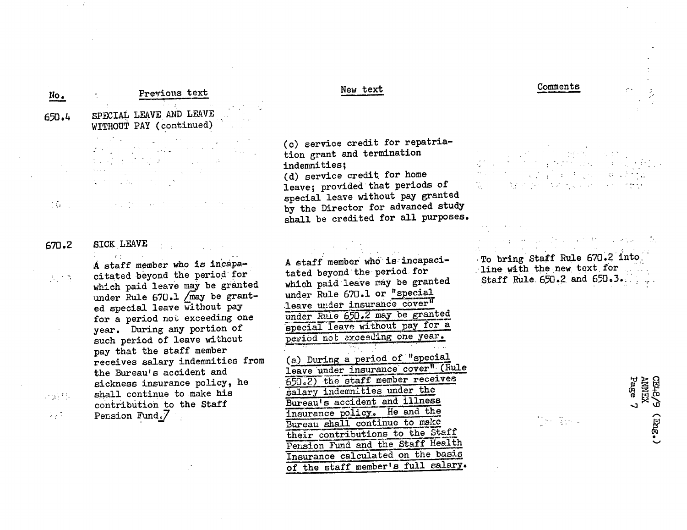| No.                                                 | Previous text                                                                                                                                                                                                                                                                                                                                                                                                                                                                                                                                                                                                                  | New text                                                                                                                                                                                                                                                                                                                                                                                       | Comments                                                                                       |
|-----------------------------------------------------|--------------------------------------------------------------------------------------------------------------------------------------------------------------------------------------------------------------------------------------------------------------------------------------------------------------------------------------------------------------------------------------------------------------------------------------------------------------------------------------------------------------------------------------------------------------------------------------------------------------------------------|------------------------------------------------------------------------------------------------------------------------------------------------------------------------------------------------------------------------------------------------------------------------------------------------------------------------------------------------------------------------------------------------|------------------------------------------------------------------------------------------------|
| 650.4                                               | SPECIAL LEAVE AND LEAVE<br>WITHOUT PAY (continued)                                                                                                                                                                                                                                                                                                                                                                                                                                                                                                                                                                             |                                                                                                                                                                                                                                                                                                                                                                                                |                                                                                                |
|                                                     | $\mathcal{F}^{\mathcal{G}}_{\mathcal{G}}$ and $\mathcal{F}^{\mathcal{G}}_{\mathcal{G}}$ and $\mathcal{F}^{\mathcal{G}}_{\mathcal{G}}$<br>$\label{eq:2} \frac{1}{2} \sum_{i=1}^n \frac{1}{2} \sum_{j=1}^n \frac{1}{2} \sum_{j=1}^n \frac{1}{2} \sum_{j=1}^n \frac{1}{2} \sum_{j=1}^n \frac{1}{2} \sum_{j=1}^n \frac{1}{2} \sum_{j=1}^n \frac{1}{2} \sum_{j=1}^n \frac{1}{2} \sum_{j=1}^n \frac{1}{2} \sum_{j=1}^n \frac{1}{2} \sum_{j=1}^n \frac{1}{2} \sum_{j=1}^n \frac{1}{2} \sum_{j=1}^n \frac{1}{$<br>むらび ようたて スパート・コンピュータ<br>$\mathcal{L}(\mathcal{F})$ and $\mathcal{L}(\mathcal{F})$ and $\mathcal{L}(\mathcal{F})$ and | (c) service credit for repatria-<br>tion grant and termination<br>indemnities;<br>(d) service credit for home<br>leave; provided that periods of                                                                                                                                                                                                                                               | $A_{\rm{max}}$ , and $A_{\rm{max}}$<br>经可预计 化加氢二氯<br>$\mathcal{L}_{\text{max}}$                |
| ្រះស្ថិត ប្                                         |                                                                                                                                                                                                                                                                                                                                                                                                                                                                                                                                                                                                                                | special leave without pay granted<br>by the Director for advanced study<br>shall be credited for all purposes.                                                                                                                                                                                                                                                                                 |                                                                                                |
| 670.2                                               | <b>SICK LEAVE</b>                                                                                                                                                                                                                                                                                                                                                                                                                                                                                                                                                                                                              |                                                                                                                                                                                                                                                                                                                                                                                                | Andreas Maria de Maria de Caractería                                                           |
| $\mathcal{N}_\text{c} \subset \mathcal{N}_\text{c}$ | r ti<br>A staff member who is incapa-<br>citated beyond the period for<br>which paid leave may be granted<br>under Rule 670.1 /may be grant-<br>ed special leave without pay<br>for a period not exceeding one<br>year. During any portion of<br>such period of leave without<br>pay that the staff member                                                                                                                                                                                                                                                                                                                     | A staff member who is incapaci-<br>tated beyond the period for<br>which paid leave may be granted<br>under Rule 670.1 or "special<br>leave under insurance cover"<br>under Rule 650.2 may be granted<br>special leave without pay for a<br>period not exceeding one year.                                                                                                                      | To bring Staff Rule 670.2 into<br>line with the new text for<br>Staff Rule $650.2$ and $650.3$ |
| $\sim 31.5$ .<br>$\sim 10^{-11}$                    | receives salary indemnities from<br>the Bureau's accident and<br>sickness insurance policy, he<br>shall continue to make his<br>contribution to the Staff<br>Pension Fund.7                                                                                                                                                                                                                                                                                                                                                                                                                                                    | a) During a period of "special<br>leave under insurance cover" (Rule<br>650.2) the staff member receives<br>salary indemnities under the<br>Bureau's accident and illness<br>insurance policy. He and the<br>Bureau shall continue to make<br>their contributions to the Staff<br>Pension Fund and the Staff Health<br>Insurance calculated on the basis<br>of the staff member's full salary. | Page<br><b>YENNY</b><br><b>CEVEO</b><br>ত<br>$(\text{true}$<br>[하 동사의                          |

 $\sim$ 

 $\hat{A}$ 

 $\mathcal{A}=\mathcal{A}$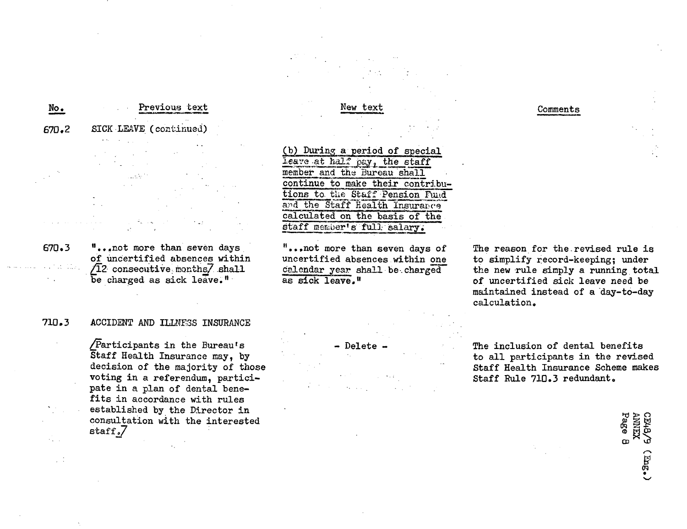# Previous text 670.2 SICK LEAVE (continued) No. Previous text New text New text Comments

670.3 "...not more than seven days of uncertified absences within  $\sqrt{12}$  consecutive months $\sqrt{2}$  shall be charged as sick leave."

# 710.3 ACCIDENT AND ILLNESS INSURANCE

\_/articipants in the Bureau's Staff Health Insurance may, by decision of the majority of those voting in a referendum, participate in a plan of dental benefits in accordance with rules established by the Director in consultation with the interested staff.7

(b) During a period of special leave at half pay, the staff member and the Bureau shall continue to make their contributions to the Staff Pension Fund and the Staff Health Insurance calculated on the basis of the staff member's full salary.

"..,not more than seven days of uncertified absences within one calendar year shall be.charged as sick leave."



The reason for the.revised rule is to simplify record-keeping; under the new rule simply a running total of uncertified sick leave need be maintained instead of a day-to-day calculation.

- Delete - The inclusion of dental benefits to all participants in the revised Staff Health Insurance Scheme makes Staff Rule 710.3 redundant.

> ID  $\boldsymbol{\varpi}$ ء<br>70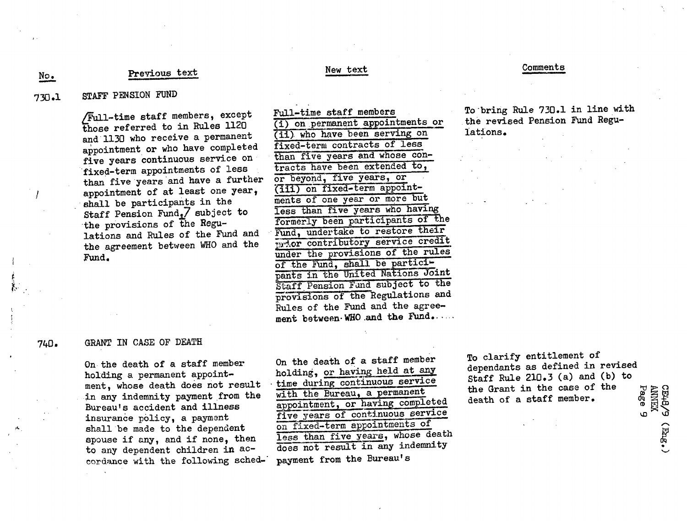# Previous text New text

## Comments

**No.**

740.

# 730.1 STAFF PENSION FUND

lFul-time staff members, except those referred to in Rules 1120 and ll130 who receive a permanent appointment or who have completed five years continuous service on fixed-term appointments of less than five years'and have a further appointment of at least one year, shall be participants in the Staff Pension Fund.7 subject to the provisions of the Regulations and Rules of the Fund and the agreement between WHO and the Fund.

Full-time staff members (i) on.permanent appointments or (ii). who have been serving on fixed-term contracts of less than five years and whose contracts have been extended to, or beyond, five years, or (iii) on fixed-term appointments of one year or more but less than five years who having formerly been participants of the Fund, undertake to restore their ma contributory service credit under the provisions of the rules of the Fund, shall be participants in the United Nations Joint Staff Pension Fand subject to the provisions of the Regulations and Rules of the Fund and the agreement between-WHO and the Fund......

To'bring Rule 730.1 in line with the revised Pension Fund Regulations.

## GRANT IN CASE OF DEATH

On the death of a staff member holding a permanent appointment, whose death does not result in any indemnity payment from the Bureau's accident and illness insurance policy, a payment shall be made to the dependent spouse if any, and if none, then to any dependent children in accordance with the following sched-' On the death of a staff member holding, or having held at any time during continuous service with the Bureau, a permanent appointment, or having completed five years of continuous service on fixed-term appointments of less than five years, whose death does not result in any indemnity payment from the Bureau's

To clarify entitlement of dependants as defined in revised Staff Rule 210.3 (a) and (b) to the Grant in the case of the death of a staff member.

**CE48/9 (E<sub>ng</sub>,)**<br>ANNEX<br>Page 9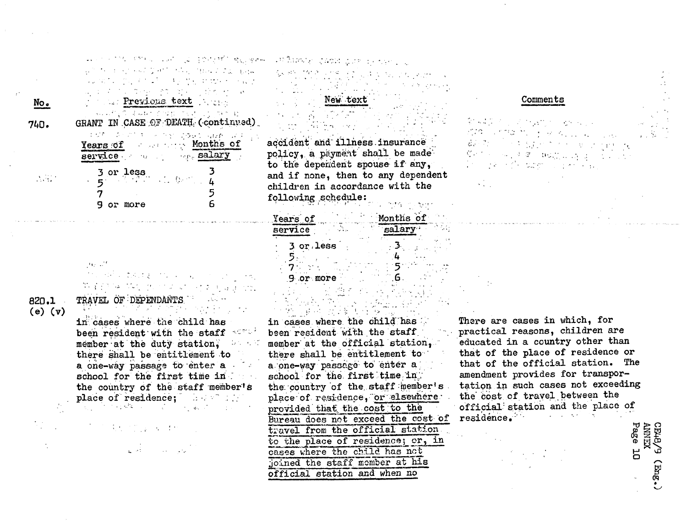| 医克劳氏法 医白细胞 医淋巴 网络人名拉埃尔尔美 电压器<br>コンコン アルチン そうきょうせん せせん・1 へいか<br>电电子 医心室瘤 经有效利润 埃尔加利亚 |
|-------------------------------------------------------------------------------------|
|                                                                                     |
| <b>External Previous text</b> And the                                               |
| 经销售货 电电极电阻 不同的过去式和过去<br>GRANT IN CASE OF DEATH (continued)                          |
| にじり こうこうき こうかがいこうみん なわれ しんよ                                                         |
| Years of Months of                                                                  |
| service we have salary                                                              |
|                                                                                     |
|                                                                                     |
| 5                                                                                   |
| $\frac{3}{5}$ or less<br>or more                                                    |

No.

740.

 $\mathcal{N}(\mathcal{A})$ 

820.1 TRAVEL OF DEPENDANTS **(e) (v)**

in cases where the child has **been resident with the staff**  $+$ member at the duty station,  $\Delta \sim 1000$ there shall be entitlement to a one-way passage to enter a school for the first time in. the country of the staff member's<br>place of residence:  $p_{\rm c}$  , and the side of  $p_{\rm c}$  , and the side of  $q_{\rm c}$ 

 $\mathcal{A}^{\mathcal{A}}_{\mathcal{A}}$  , where  $\mathcal{A}^{\mathcal{A}}_{\mathcal{A}}$  and  $\mathcal{A}^{\mathcal{A}}_{\mathcal{A}}$ 

الوحول الموارد المتحافظ

ುಳಿ ನಿರ್ವಹಿಸಿ ನಡೆಯ ನವಕ

New; text

accident and illness insurance policy, a payment shall be made to the dependent spouse if any, and if none, then to any dependent **children in** accordance with the following .schedule:

| Years of  | Months of |
|-----------|-----------|
| service   | Lary .    |
| 3 or less |           |
|           |           |
| or more   |           |

and the first state of the control of the control of the control of the control of the control of the control o<br>The control of the control of the control of the control of the control of the control of the control of the c in cases where. the child''has been resident **with** the staff, member at the official station, there shall be entitlement to **a.one-way** passage: to' 'enter **a'** school for the first time in, the country of the staff member's place of residence, or elsewhere. **provided'** that, the cost to **the** Bureau does not exceed the cost of travel from the official station to the place of residence; or, in cases where **the** child has net joined the staff momber at his **official station** and when no

Comments

There are cases in which, for practical reasons, children are educated in a country other than that of the place of residence or that of the official station. The amendment provides for transpor**tation in** such cases not exceeding the cost of travel between the official:station and the place of residence.

**<sup>H</sup>**o

 $(Ting.$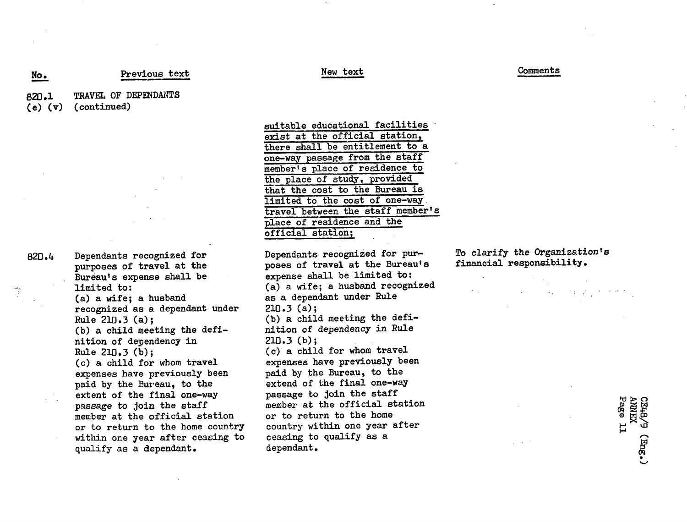# Previous text

TRAVEL OF DEPENDANTS (continued) 820.1 **(e) (v)**

No.

820.4 Dependants recognized for purposes of travel at the Bureau's expense shall be limited to: (a) a wife; a husband recognized as a dependant under Rule 210.3 (a); (b) a child meeting the definition of dependency in Rule 210.3 (b); (c) a child for whom travel expenses have previously been paid by the Bureau, to the extent of the final one-way passage to join the staff member at the official station or to return to the home country within one year after ceasing to qualify as a dependant.

suitable educational facilities exist at the official station, there shall be entitlement to a one-way passage from the staff member's place of residence to the place of study, provided that the cost to the Bureau is limited to the cost of one-way. travel between the staff member's place of residence and the official station;

Dependants recognized for purposes of travel at the Bureau's expense shall be limited to: (a) a wife; a husband recognized as a dependant under Rule 210.3 (a); (b) a child meeting the definition of dependency in Rule 210.3 (b); (c) a child for whom travel expenses have previously been paid by the Bureau, to the extend of the final one-way passage to join the staff member at the official station or to return to the home country within one year after ceasing to qualify as a dependant.

To clarify the Organization's financial responsibility.

> **H**  $\ddot{\phantom{0}}$